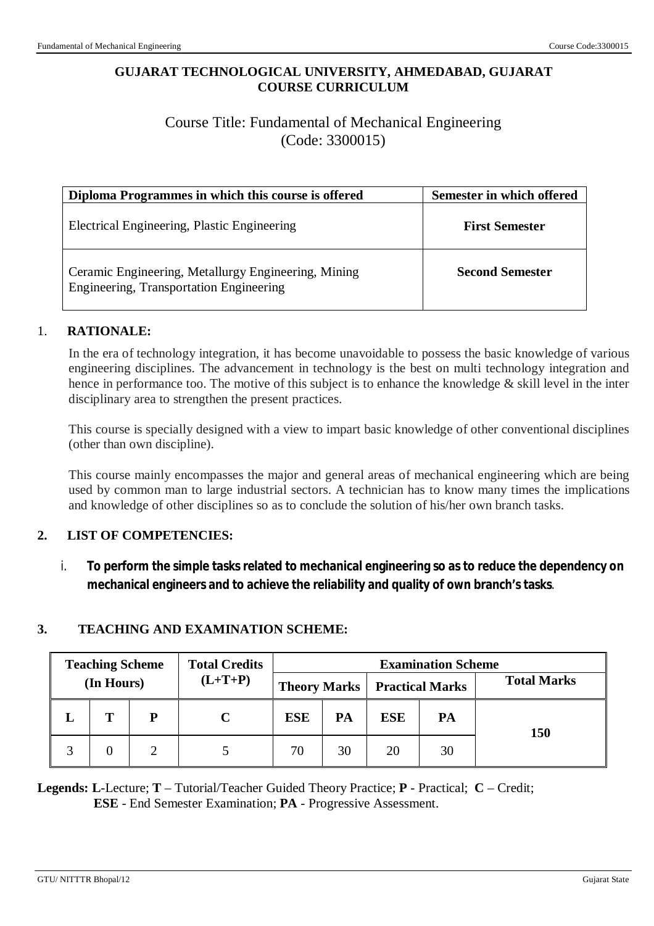### **GUJARAT TECHNOLOGICAL UNIVERSITY, AHMEDABAD, GUJARAT COURSE CURRICULUM**

# Course Title: Fundamental of Mechanical Engineering (Code: 3300015)

| Diploma Programmes in which this course is offered                                             | Semester in which offered |
|------------------------------------------------------------------------------------------------|---------------------------|
| Electrical Engineering, Plastic Engineering                                                    | <b>First Semester</b>     |
| Ceramic Engineering, Metallurgy Engineering, Mining<br>Engineering, Transportation Engineering | <b>Second Semester</b>    |

### 1. **RATIONALE:**

In the era of technology integration, it has become unavoidable to possess the basic knowledge of various engineering disciplines. The advancement in technology is the best on multi technology integration and hence in performance too. The motive of this subject is to enhance the knowledge & skill level in the inter disciplinary area to strengthen the present practices.

This course is specially designed with a view to impart basic knowledge of other conventional disciplines (other than own discipline).

This course mainly encompasses the major and general areas of mechanical engineering which are being used by common man to large industrial sectors. A technician has to know many times the implications and knowledge of other disciplines so as to conclude the solution of his/her own branch tasks.

### **2. LIST OF COMPETENCIES:**

i. **To perform the simple tasks related to mechanical engineering so as to reduce the dependency on mechanical engineers and to achieve the reliability and quality of own branch's tasks**.

### **3. TEACHING AND EXAMINATION SCHEME:**

|            | <b>Teaching Scheme</b> |           | <b>Total Credits</b>                  | <b>Examination Scheme</b> |    |            |                    |     |
|------------|------------------------|-----------|---------------------------------------|---------------------------|----|------------|--------------------|-----|
| (In Hours) |                        | $(L+T+P)$ | <b>Theory Marks   Practical Marks</b> |                           |    |            | <b>Total Marks</b> |     |
|            |                        | P         |                                       | <b>ESE</b>                | PA | <b>ESE</b> | PA                 | 150 |
|            | 0                      |           |                                       | 70                        | 30 | 20         | 30                 |     |

**Legends: L**-Lecture; **T** – Tutorial/Teacher Guided Theory Practice; **P** - Practical; **C** – Credit; **ESE** - End Semester Examination; **PA** - Progressive Assessment.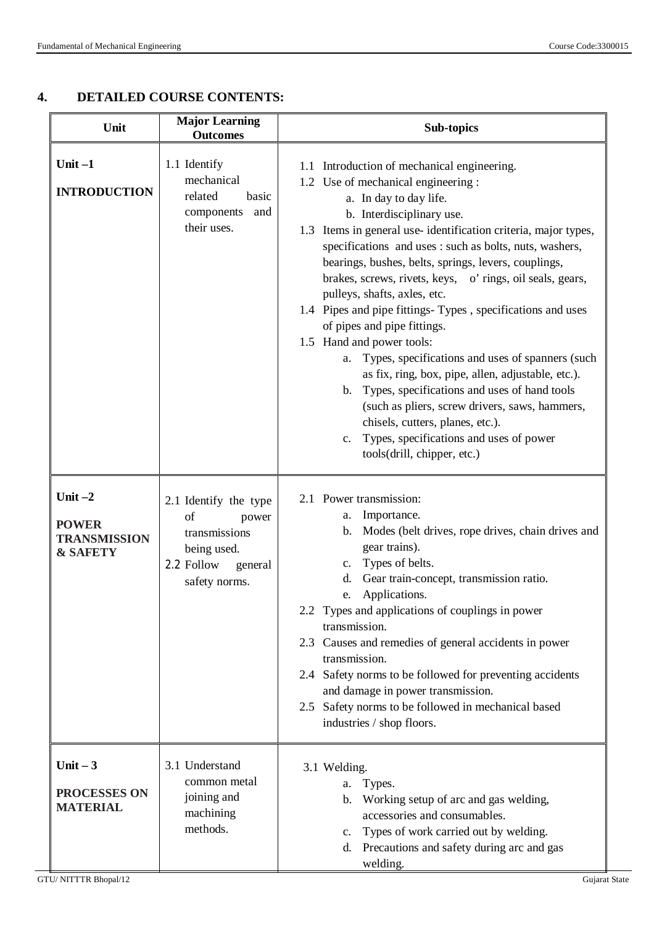### **4. DETAILED COURSE CONTENTS:**

| Unit                                                                    | <b>Major Learning</b><br><b>Outcomes</b>                                                                       | <b>Sub-topics</b>                                                                                                                                                                                                                                                                                                                                                                                                                                                                                                                                                                                                                                                                                                                                                                                                                                                                                             |  |  |
|-------------------------------------------------------------------------|----------------------------------------------------------------------------------------------------------------|---------------------------------------------------------------------------------------------------------------------------------------------------------------------------------------------------------------------------------------------------------------------------------------------------------------------------------------------------------------------------------------------------------------------------------------------------------------------------------------------------------------------------------------------------------------------------------------------------------------------------------------------------------------------------------------------------------------------------------------------------------------------------------------------------------------------------------------------------------------------------------------------------------------|--|--|
| Unit $-1$<br><b>INTRODUCTION</b>                                        | 1.1 Identify<br>mechanical<br>related<br>basic<br>components<br>and<br>their uses.                             | 1.1 Introduction of mechanical engineering.<br>1.2 Use of mechanical engineering :<br>a. In day to day life.<br>b. Interdisciplinary use.<br>1.3 Items in general use-identification criteria, major types,<br>specifications and uses : such as bolts, nuts, washers,<br>bearings, bushes, belts, springs, levers, couplings,<br>brakes, screws, rivets, keys, o' rings, oil seals, gears,<br>pulleys, shafts, axles, etc.<br>1.4 Pipes and pipe fittings-Types, specifications and uses<br>of pipes and pipe fittings.<br>1.5 Hand and power tools:<br>Types, specifications and uses of spanners (such<br>a.<br>as fix, ring, box, pipe, allen, adjustable, etc.).<br>Types, specifications and uses of hand tools<br>b.<br>(such as pliers, screw drivers, saws, hammers,<br>chisels, cutters, planes, etc.).<br>Types, specifications and uses of power<br>$\mathbf{c}$ .<br>tools(drill, chipper, etc.) |  |  |
| Unit $-2$<br><b>POWER</b><br><b>TRANSMISSION</b><br><b>&amp; SAFETY</b> | 2.1 Identify the type<br>of<br>power<br>transmissions<br>being used.<br>2.2 Follow<br>general<br>safety norms. | 2.1 Power transmission:<br>Importance.<br>a.<br>Modes (belt drives, rope drives, chain drives and<br>$\mathbf{b}$ .<br>gear trains).<br>Types of belts.<br>$\mathbf{c}$ .<br>Gear train-concept, transmission ratio.<br>d.<br>Applications.<br>e.<br>2.2 Types and applications of couplings in power<br>transmission.<br>2.3 Causes and remedies of general accidents in power<br>transmission.<br>2.4 Safety norms to be followed for preventing accidents<br>and damage in power transmission.<br>2.5 Safety norms to be followed in mechanical based<br>industries / shop floors.                                                                                                                                                                                                                                                                                                                         |  |  |
| Unit $-3$<br>PROCESSES ON<br><b>MATERIAL</b>                            | 3.1 Understand<br>common metal<br>joining and<br>machining<br>methods.                                         | 3.1 Welding.<br>Types.<br>a.<br>Working setup of arc and gas welding,<br>b.<br>accessories and consumables.<br>Types of work carried out by welding.<br>$\mathbf{c}$ .<br>Precautions and safety during arc and gas<br>d.<br>welding.                                                                                                                                                                                                                                                                                                                                                                                                                                                                                                                                                                                                                                                                         |  |  |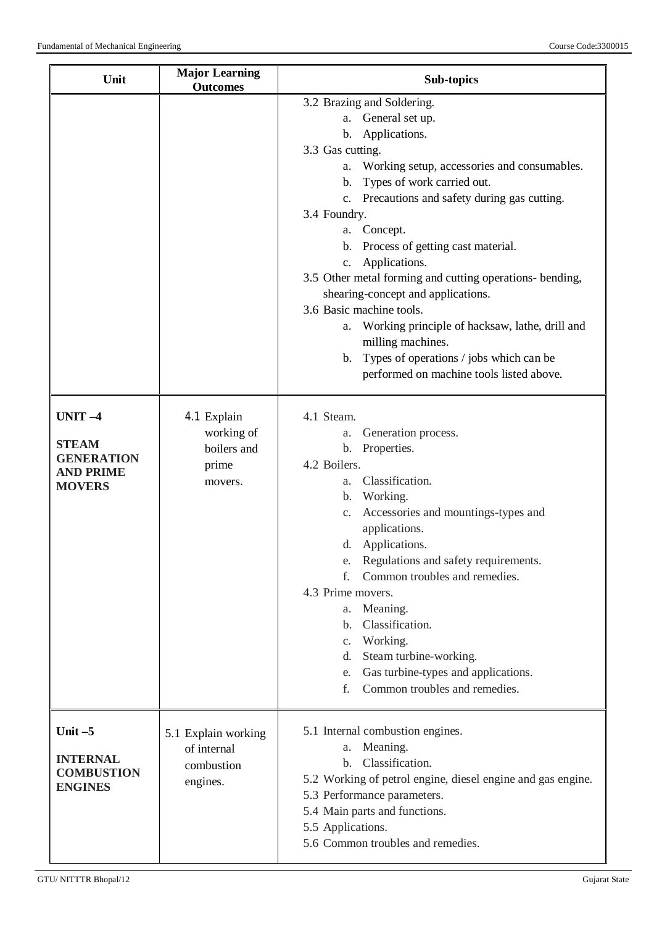| Unit                                                                             | <b>Major Learning</b><br><b>Outcomes</b>                     | Sub-topics                                                                                                                                                                                                                                                                                                                                                                                                                                                                                                                                                                                                                                                                                                                                                                                                                                                                                                                                                                                                                                                                   |
|----------------------------------------------------------------------------------|--------------------------------------------------------------|------------------------------------------------------------------------------------------------------------------------------------------------------------------------------------------------------------------------------------------------------------------------------------------------------------------------------------------------------------------------------------------------------------------------------------------------------------------------------------------------------------------------------------------------------------------------------------------------------------------------------------------------------------------------------------------------------------------------------------------------------------------------------------------------------------------------------------------------------------------------------------------------------------------------------------------------------------------------------------------------------------------------------------------------------------------------------|
| UNIT-4<br><b>STEAM</b><br><b>GENERATION</b><br><b>AND PRIME</b><br><b>MOVERS</b> | 4.1 Explain<br>working of<br>boilers and<br>prime<br>movers. | 3.2 Brazing and Soldering.<br>General set up.<br>a.<br>b. Applications.<br>3.3 Gas cutting.<br>a. Working setup, accessories and consumables.<br>b. Types of work carried out.<br>c. Precautions and safety during gas cutting.<br>3.4 Foundry.<br>a. Concept.<br>b. Process of getting cast material.<br>Applications.<br>c.<br>3.5 Other metal forming and cutting operations- bending,<br>shearing-concept and applications.<br>3.6 Basic machine tools.<br>Working principle of hacksaw, lathe, drill and<br>a.<br>milling machines.<br>Types of operations / jobs which can be<br>$\mathbf{b}$ .<br>performed on machine tools listed above.<br>4.1 Steam.<br>Generation process.<br>a.<br>Properties.<br>$\mathbf{b}$ .<br>4.2 Boilers.<br>Classification.<br>a.<br>b. Working.<br>Accessories and mountings-types and<br>$C_{\star}$<br>applications.<br>Applications.<br>d.<br>e. Regulations and safety requirements.<br>Common troubles and remedies.<br>$f_{\cdot}$<br>4.3 Prime movers.<br>Meaning.<br>a.<br>Classification.<br>$\mathbf{b}$ .<br>Working.<br>c. |
| Unit $-5$                                                                        | 5.1 Explain working<br>of internal                           | Steam turbine-working.<br>d.<br>Gas turbine-types and applications.<br>e.<br>Common troubles and remedies.<br>f.<br>5.1 Internal combustion engines.<br>Meaning.<br>a.                                                                                                                                                                                                                                                                                                                                                                                                                                                                                                                                                                                                                                                                                                                                                                                                                                                                                                       |
| <b>INTERNAL</b><br><b>COMBUSTION</b><br><b>ENGINES</b>                           | combustion<br>engines.                                       | Classification.<br>$\mathbf{b}$ .<br>5.2 Working of petrol engine, diesel engine and gas engine.<br>5.3 Performance parameters.<br>5.4 Main parts and functions.<br>5.5 Applications.<br>5.6 Common troubles and remedies.                                                                                                                                                                                                                                                                                                                                                                                                                                                                                                                                                                                                                                                                                                                                                                                                                                                   |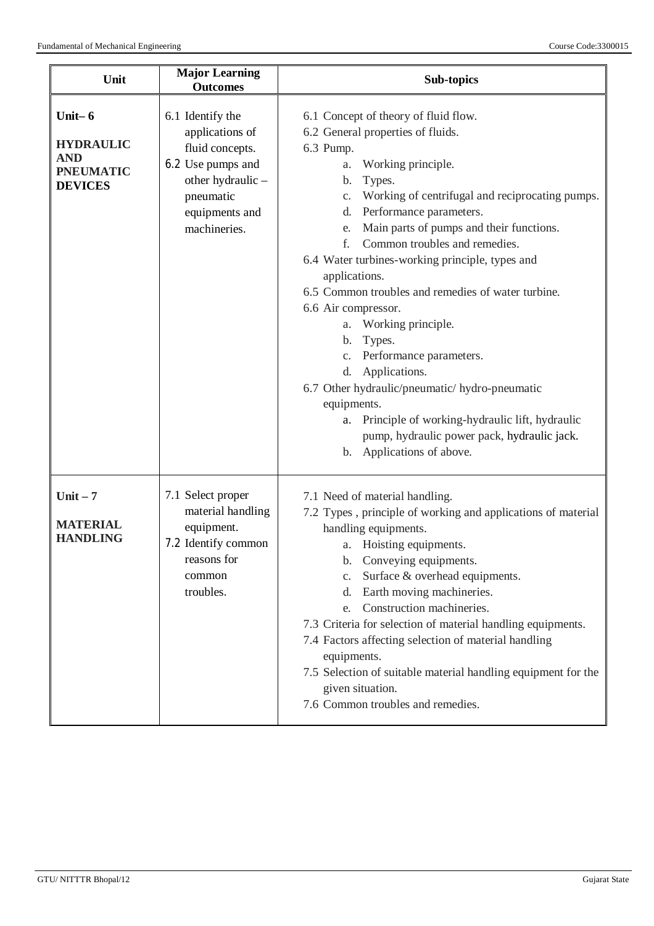| Unit                                                                              | <b>Major Learning</b><br><b>Outcomes</b>                                                                                                        | Sub-topics                                                                                                                                                                                                                                                                                                                                                                                                                                                                                                                                                                                                                                                                                                                                                                                     |
|-----------------------------------------------------------------------------------|-------------------------------------------------------------------------------------------------------------------------------------------------|------------------------------------------------------------------------------------------------------------------------------------------------------------------------------------------------------------------------------------------------------------------------------------------------------------------------------------------------------------------------------------------------------------------------------------------------------------------------------------------------------------------------------------------------------------------------------------------------------------------------------------------------------------------------------------------------------------------------------------------------------------------------------------------------|
| Unit- $6$<br><b>HYDRAULIC</b><br><b>AND</b><br><b>PNEUMATIC</b><br><b>DEVICES</b> | 6.1 Identify the<br>applications of<br>fluid concepts.<br>6.2 Use pumps and<br>other hydraulic -<br>pneumatic<br>equipments and<br>machineries. | 6.1 Concept of theory of fluid flow.<br>6.2 General properties of fluids.<br>6.3 Pump.<br>Working principle.<br>a.<br>Types.<br>b.<br>Working of centrifugal and reciprocating pumps.<br>c.<br>Performance parameters.<br>d.<br>Main parts of pumps and their functions.<br>e.<br>Common troubles and remedies.<br>f.<br>6.4 Water turbines-working principle, types and<br>applications.<br>6.5 Common troubles and remedies of water turbine.<br>6.6 Air compressor.<br>Working principle.<br>a.<br>Types.<br>b.<br>Performance parameters.<br>C <sub>1</sub><br>Applications.<br>d.<br>6.7 Other hydraulic/pneumatic/ hydro-pneumatic<br>equipments.<br>Principle of working-hydraulic lift, hydraulic<br>a.<br>pump, hydraulic power pack, hydraulic jack.<br>Applications of above.<br>b. |
| $Unit - 7$<br><b>MATERIAL</b><br><b>HANDLING</b>                                  | 7.1 Select proper<br>material handling<br>equipment.<br>7.2 Identify common<br>reasons for<br>common<br>troubles.                               | 7.1 Need of material handling.<br>7.2 Types, principle of working and applications of material<br>handling equipments.<br>a. Hoisting equipments.<br>Conveying equipments.<br>b.<br>Surface & overhead equipments.<br>c.<br>Earth moving machineries.<br>d.<br>Construction machineries.<br>e.<br>7.3 Criteria for selection of material handling equipments.<br>7.4 Factors affecting selection of material handling<br>equipments.<br>7.5 Selection of suitable material handling equipment for the<br>given situation.<br>7.6 Common troubles and remedies.                                                                                                                                                                                                                                 |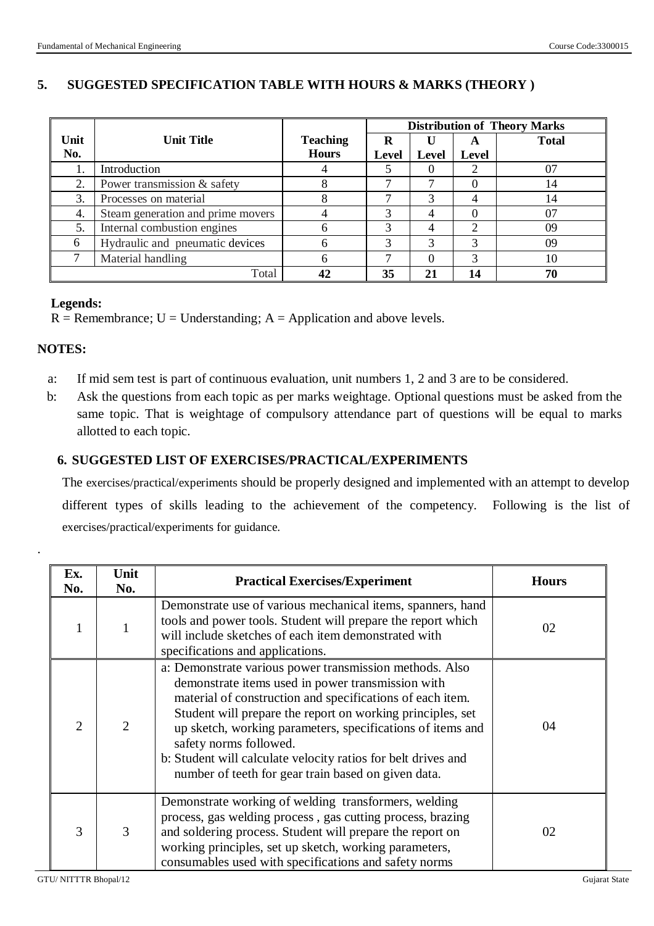### **5. SUGGESTED SPECIFICATION TABLE WITH HOURS & MARKS (THEORY )**

|      |                                   | <b>Distribution of Theory Marks</b> |              |              |               |              |
|------|-----------------------------------|-------------------------------------|--------------|--------------|---------------|--------------|
| Unit | <b>Unit Title</b>                 | <b>Teaching</b>                     | R            |              | $\rightarrow$ | <b>Total</b> |
| No.  |                                   | <b>Hours</b>                        | <b>Level</b> | <b>Level</b> | <b>Level</b>  |              |
| Ī.   | Introduction                      |                                     |              |              |               | 07           |
| 2.   | Power transmission & safety       |                                     |              |              |               | 14           |
| 3.   | Processes on material             |                                     |              |              |               | 14           |
| 4.   | Steam generation and prime movers |                                     | 3            |              |               | 07           |
| 5.   | Internal combustion engines       | h                                   | 3            |              |               | 09           |
| 6    | Hydraulic and pneumatic devices   | $\sigma$                            | 3            | 3            | 3             | 09           |
|      | Material handling                 | h                                   | ⇁            |              | 3             | 10           |
|      | Total                             | 42                                  | 35           | 21           | 14            | 70           |

#### **Legends:**

 $R =$  Remembrance;  $U =$  Understanding;  $A =$  Application and above levels.

#### **NOTES:**

.

- a: If mid sem test is part of continuous evaluation, unit numbers 1, 2 and 3 are to be considered.
- b: Ask the questions from each topic as per marks weightage. Optional questions must be asked from the same topic. That is weightage of compulsory attendance part of questions will be equal to marks allotted to each topic.

#### **6. SUGGESTED LIST OF EXERCISES/PRACTICAL/EXPERIMENTS**

The exercises/practical/experiments should be properly designed and implemented with an attempt to develop different types of skills leading to the achievement of the competency. Following is the list of exercises/practical/experiments for guidance.

| Ex.<br>No.     | Unit<br>No.    | <b>Practical Exercises/Experiment</b>                                                                                                                                                                                                                                                                                                                                                                                                                   | <b>Hours</b> |
|----------------|----------------|---------------------------------------------------------------------------------------------------------------------------------------------------------------------------------------------------------------------------------------------------------------------------------------------------------------------------------------------------------------------------------------------------------------------------------------------------------|--------------|
|                | 1              | Demonstrate use of various mechanical items, spanners, hand<br>tools and power tools. Student will prepare the report which<br>will include sketches of each item demonstrated with<br>specifications and applications.                                                                                                                                                                                                                                 | 02           |
| $\mathfrak{D}$ | $\overline{2}$ | a: Demonstrate various power transmission methods. Also<br>demonstrate items used in power transmission with<br>material of construction and specifications of each item.<br>Student will prepare the report on working principles, set<br>up sketch, working parameters, specifications of items and<br>safety norms followed.<br>b: Student will calculate velocity ratios for belt drives and<br>number of teeth for gear train based on given data. | 04           |
| 3              | 3              | Demonstrate working of welding transformers, welding<br>process, gas welding process, gas cutting process, brazing<br>and soldering process. Student will prepare the report on<br>working principles, set up sketch, working parameters,<br>consumables used with specifications and safety norms                                                                                                                                                      | 02           |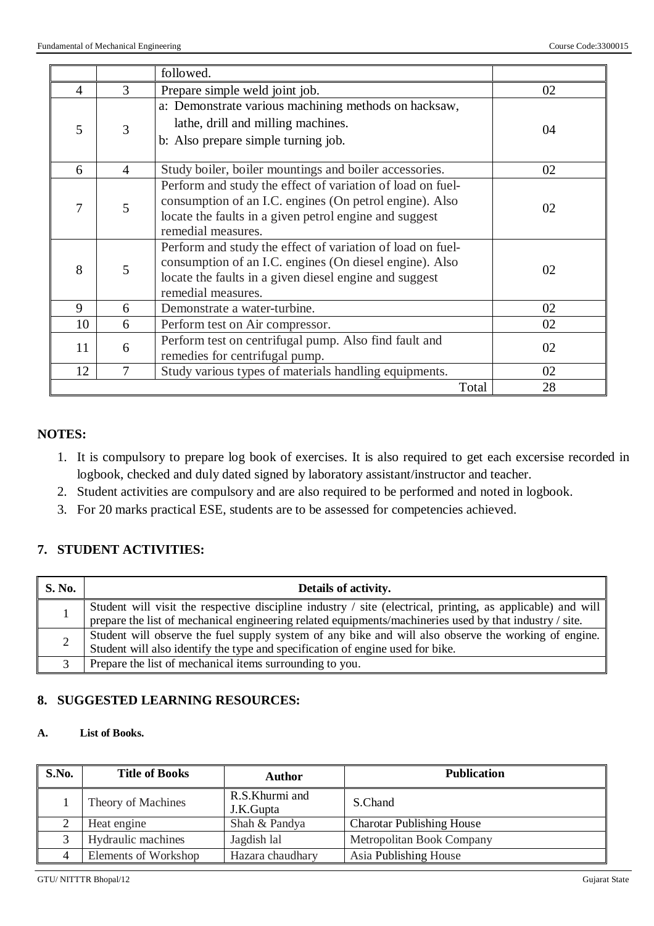|                |                | followed.                                                                                                                                                                                             |    |
|----------------|----------------|-------------------------------------------------------------------------------------------------------------------------------------------------------------------------------------------------------|----|
| $\overline{4}$ | 3              | Prepare simple weld joint job.                                                                                                                                                                        | 02 |
| 5              | 3              | a: Demonstrate various machining methods on hacksaw,<br>lathe, drill and milling machines.<br>b: Also prepare simple turning job.                                                                     | 04 |
| 6              | $\overline{4}$ | Study boiler, boiler mountings and boiler accessories.                                                                                                                                                | 02 |
| 7              | 5              | Perform and study the effect of variation of load on fuel-<br>consumption of an I.C. engines (On petrol engine). Also<br>locate the faults in a given petrol engine and suggest<br>remedial measures. | 02 |
| 8              | 5              | Perform and study the effect of variation of load on fuel-<br>consumption of an I.C. engines (On diesel engine). Also<br>locate the faults in a given diesel engine and suggest<br>remedial measures. | 02 |
| 9              | 6              | Demonstrate a water-turbine.                                                                                                                                                                          | 02 |
| 10             | 6              | Perform test on Air compressor.                                                                                                                                                                       | 02 |
| 11             | 6              | Perform test on centrifugal pump. Also find fault and<br>remedies for centrifugal pump.                                                                                                               | 02 |
| 12             | 7              | Study various types of materials handling equipments.                                                                                                                                                 | 02 |
|                |                | Total                                                                                                                                                                                                 | 28 |

### **NOTES:**

- 1. It is compulsory to prepare log book of exercises. It is also required to get each excersise recorded in logbook, checked and duly dated signed by laboratory assistant/instructor and teacher.
- 2. Student activities are compulsory and are also required to be performed and noted in logbook.
- 3. For 20 marks practical ESE, students are to be assessed for competencies achieved.

### **7. STUDENT ACTIVITIES:**

| <b>S. No.</b> | Details of activity.                                                                                                                                                                                                   |
|---------------|------------------------------------------------------------------------------------------------------------------------------------------------------------------------------------------------------------------------|
|               | Student will visit the respective discipline industry / site (electrical, printing, as applicable) and will<br>prepare the list of mechanical engineering related equipments/machineries used by that industry / site. |
|               | Student will observe the fuel supply system of any bike and will also observe the working of engine.<br>Student will also identify the type and specification of engine used for bike.                                 |
|               | Prepare the list of mechanical items surrounding to you.                                                                                                                                                               |

## **8. SUGGESTED LEARNING RESOURCES:**

#### **A. List of Books.**

| S.No. | <b>Title of Books</b> | <b>Author</b>               | <b>Publication</b>               |
|-------|-----------------------|-----------------------------|----------------------------------|
|       | Theory of Machines    | R.S.Khurmi and<br>J.K.Gupta | S.Chand                          |
|       | Heat engine           | Shah & Pandya               | <b>Charotar Publishing House</b> |
|       | Hydraulic machines    | Jagdish lal                 | Metropolitan Book Company        |
|       | Elements of Workshop  | Hazara chaudhary            | Asia Publishing House            |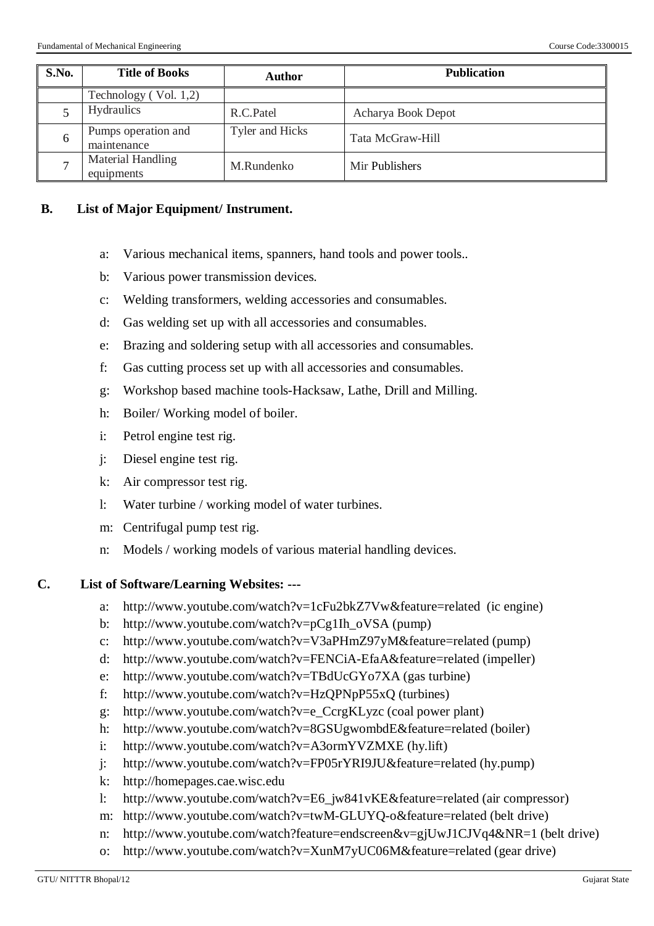| S.No.        | <b>Title of Books</b>              | Author          | <b>Publication</b> |
|--------------|------------------------------------|-----------------|--------------------|
|              | Technology $(Vol. 1,2)$            |                 |                    |
|              | <b>Hydraulics</b>                  | R.C.Patel       | Acharya Book Depot |
| 6            | Pumps operation and<br>maintenance | Tyler and Hicks | Tata McGraw-Hill   |
| $\mathbf{r}$ | Material Handling<br>equipments    | M.Rundenko      | Mir Publishers     |

#### **B. List of Major Equipment/ Instrument.**

- a: Various mechanical items, spanners, hand tools and power tools..
- b: Various power transmission devices.
- c: Welding transformers, welding accessories and consumables.
- d: Gas welding set up with all accessories and consumables.
- e: Brazing and soldering setup with all accessories and consumables.
- f: Gas cutting process set up with all accessories and consumables.
- g: Workshop based machine tools-Hacksaw, Lathe, Drill and Milling.
- h: Boiler/ Working model of boiler.
- i: Petrol engine test rig.
- j: Diesel engine test rig.
- k: Air compressor test rig.
- l: Water turbine / working model of water turbines.
- m: Centrifugal pump test rig.
- n: Models / working models of various material handling devices.

#### **C. List of Software/Learning Websites: ---**

- a: http://www.youtube.com/watch?v=1cFu2bkZ7Vw&feature=related (ic engine)
- b: http://www.youtube.com/watch?v=pCg1Ih\_oVSA (pump)
- c: http://www.youtube.com/watch?v=V3aPHmZ97yM&feature=related (pump)
- d: http://www.youtube.com/watch?v=FENCiA-EfaA&feature=related (impeller)
- e: http://www.youtube.com/watch?v=TBdUcGYo7XA (gas turbine)
- f: http://www.youtube.com/watch?v=HzQPNpP55xQ (turbines)
- g: http://www.youtube.com/watch?v=e\_CcrgKLyzc (coal power plant)
- h: http://www.youtube.com/watch?v=8GSUgwombdE&feature=related (boiler)
- i: http://www.youtube.com/watch?v=A3ormYVZMXE (hy.lift)
- j: http://www.youtube.com/watch?v=FP05rYRI9JU&feature=related (hy.pump)
- k: http://homepages.cae.wisc.edu
- l: http://www.youtube.com/watch?v=E6\_jw841vKE&feature=related (air compressor)
- m: http://www.youtube.com/watch?v=twM-GLUYQ-o&feature=related (belt drive)
- n: http://www.youtube.com/watch?feature=endscreen&v=gjUwJ1CJVq4&NR=1 (belt drive)
- o: http://www.youtube.com/watch?v=XunM7yUC06M&feature=related (gear drive)